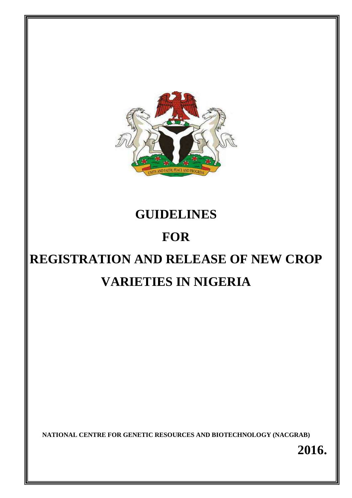

# **GUIDELINES**

# **FOR**

# **REGISTRATION AND RELEASE OF NEW CROP VARIETIES IN NIGERIA**

**NATIONAL CENTRE FOR GENETIC RESOURCES AND BIOTECHNOLOGY (NACGRAB)** 

**2016.**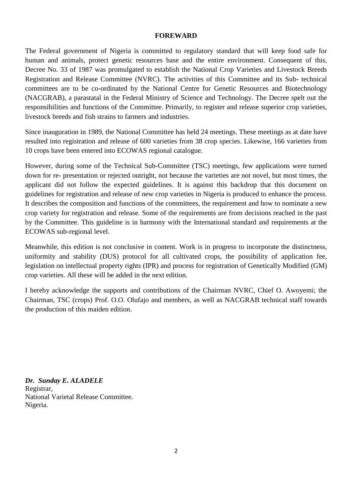#### **FOREWARD**

The Federal government of Nigeria is committed to regulatory standard that will keep food safe for human and animals, protect genetic resources base and the entire environment. Consequent of this, Decree No. 33 of 1987 was promulgated to establish the National Crop Varieties and Livestock Breeds Registration and Release Committee (NVRC). The activities of this Committee and its Sub- technical committees are to be co-ordinated by the National Centre for Genetic Resources and Biotechnology (NACGRAB), a parastatal in the Federal Ministry of Science and Technology. The Decree spelt out the responsibilities and functions of the Committee. Primarily, to register and release superior crop varieties, livestock breeds and fish strains to farmers and industries.

Since inauguration in 1989, the National Committee has held 24 meetings. These meetings as at date have resulted into registration and release of 600 varieties from 38 crop species. Likewise, 166 varieties from 10 crops have been entered into ECOWAS regional catalogue.

However, during some of the Technical Sub-Committee (TSC) meetings, few applications were turned down for re- presentation or rejected outright, not because the varieties are not novel, but most times, the applicant did not follow the expected guidelines. It is against this backdrop that this document on guidelines for registration and release of new crop varieties in Nigeria is produced to enhance the process. It describes the composition and functions of the committees, the requirement and how to nominate a new crop variety for registration and release. Some of the requirements are from decisions reached in the past by the Committee. This guideline is in harmony with the International standard and requirements at the ECOWAS sub-regional level.

Meanwhile, this edition is not conclusive in content. Work is in progress to incorporate the distinctness, uniformity and stability (DUS) protocol for all cultivated crops, the possibility of application fee, legislation on intellectual property rights (IPR) and process for registration of Genetically Modified (GM) crop varieties. All these will be added in the next edition.

I hereby acknowledge the supports and contributions of the Chairman NVRC, Chief O. Awoyemi; the Chairman, TSC (crops) Prof. O.O. Olufajo and members, as well as NACGRAB technical staff towards the production of this maiden edition.

*Dr. Sunday E. ALADELE*  Registrar, National Varietal Release Committee. Nigeria.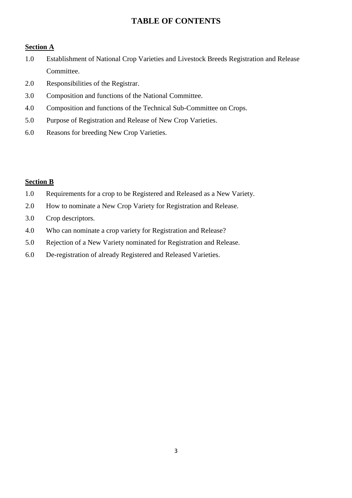# **TABLE OF CONTENTS**

#### **Section A**

- 1.0 Establishment of National Crop Varieties and Livestock Breeds Registration and Release Committee.
- 2.0 Responsibilities of the Registrar.
- 3.0 Composition and functions of the National Committee.
- 4.0 Composition and functions of the Technical Sub-Committee on Crops.
- 5.0 Purpose of Registration and Release of New Crop Varieties.
- 6.0 Reasons for breeding New Crop Varieties.

#### **Section B**

- 1.0 Requirements for a crop to be Registered and Released as a New Variety.
- 2.0 How to nominate a New Crop Variety for Registration and Release.
- 3.0 Crop descriptors.
- 4.0 Who can nominate a crop variety for Registration and Release?
- 5.0 Rejection of a New Variety nominated for Registration and Release.
- 6.0 De-registration of already Registered and Released Varieties.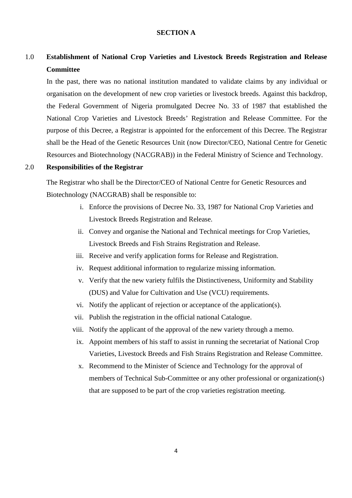#### **SECTION A**

# 1.0 **Establishment of National Crop Varieties and Livestock Breeds Registration and Release Committee**

In the past, there was no national institution mandated to validate claims by any individual or organisation on the development of new crop varieties or livestock breeds. Against this backdrop, the Federal Government of Nigeria promulgated Decree No. 33 of 1987 that established the National Crop Varieties and Livestock Breeds' Registration and Release Committee. For the purpose of this Decree, a Registrar is appointed for the enforcement of this Decree. The Registrar shall be the Head of the Genetic Resources Unit (now Director/CEO, National Centre for Genetic Resources and Biotechnology (NACGRAB)) in the Federal Ministry of Science and Technology.

#### 2.0 **Responsibilities of the Registrar**

The Registrar who shall be the Director/CEO of National Centre for Genetic Resources and Biotechnology (NACGRAB) shall be responsible to:

- i. Enforce the provisions of Decree No. 33, 1987 for National Crop Varieties and Livestock Breeds Registration and Release.
- ii. Convey and organise the National and Technical meetings for Crop Varieties, Livestock Breeds and Fish Strains Registration and Release.
- iii. Receive and verify application forms for Release and Registration.
- iv. Request additional information to regularize missing information.
- v. Verify that the new variety fulfils the Distinctiveness, Uniformity and Stability (DUS) and Value for Cultivation and Use (VCU) requirements.
- vi. Notify the applicant of rejection or acceptance of the application(s).
- vii. Publish the registration in the official national Catalogue.
- viii. Notify the applicant of the approval of the new variety through a memo.
- ix. Appoint members of his staff to assist in running the secretariat of National Crop Varieties, Livestock Breeds and Fish Strains Registration and Release Committee.
- x. Recommend to the Minister of Science and Technology for the approval of members of Technical Sub-Committee or any other professional or organization(s) that are supposed to be part of the crop varieties registration meeting.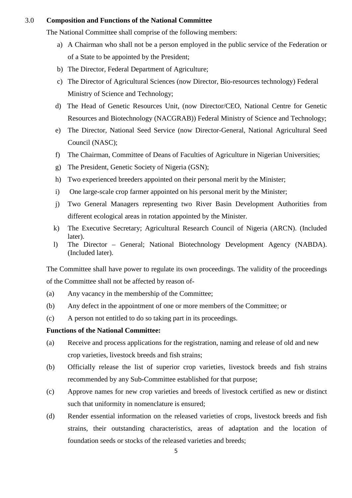#### 3.0 **Composition and Functions of the National Committee**

The National Committee shall comprise of the following members:

- a) A Chairman who shall not be a person employed in the public service of the Federation or of a State to be appointed by the President;
- b) The Director, Federal Department of Agriculture;
- c) The Director of Agricultural Sciences (now Director, Bio-resources technology) Federal Ministry of Science and Technology;
- d) The Head of Genetic Resources Unit, (now Director/CEO, National Centre for Genetic Resources and Biotechnology (NACGRAB)) Federal Ministry of Science and Technology;
- e)The Director, National Seed Service (now Director-General, National Agricultural Seed Council (NASC);
- f) The Chairman, Committee of Deans of Faculties of Agriculture in Nigerian Universities;
- g)The President, Genetic Society of Nigeria (GSN);
- h)Two experienced breeders appointed on their personal merit by the Minister;
- i)One large-scale crop farmer appointed on his personal merit by the Minister;
- j)Two General Managers representing two River Basin Development Authorities from different ecological areas in rotation appointed by the Minister.
- k)The Executive Secretary; Agricultural Research Council of Nigeria (ARCN). (Included later).
- l) The Director General; National Biotechnology Development Agency (NABDA). (Included later).

The Committee shall have power to regulate its own proceedings. The validity of the proceedings of the Committee shall not be affected by reason of-

- (a)Any vacancy in the membership of the Committee;
- (b)Any defect in the appointment of one or more members of the Committee; or
- (c)A person not entitled to do so taking part in its proceedings.

#### **Functions of the National Committee:**

- (a)Receive and process applications for the registration, naming and release of old and new crop varieties, livestock breeds and fish strains;
- (b)Officially release the list of superior crop varieties, livestock breeds and fish strains recommended by any Sub-Committee established for that purpose;
- (c)Approve names for new crop varieties and breeds of livestock certified as new or distinct such that uniformity in nomenclature is ensured;
- (d)Render essential information on the released varieties of crops, livestock breeds and fish strains, their outstanding characteristics, areas of adaptation and the location of foundation seeds or stocks of the released varieties and breeds;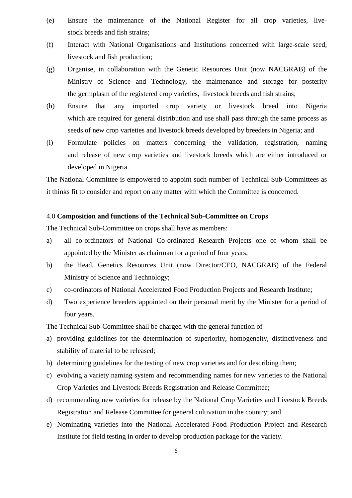- (e) Ensure the maintenance of the National Register for all crop varieties, live stock breeds and fish strains;
- (f)Interact with National Organisations and Institutions concerned with large-scale seed, livestock and fish production;
- (g)Organise, in collaboration with the Genetic Resources Unit (now NACGRAB) of the Ministry of Science and Technology, the maintenance and storage for posterity the germplasm of the registered crop varieties, livestock breeds and fish strains;
- (h) Ensure that any imported crop variety or livestock breed into Nigeria which are required for general distribution and use shall pass through the same process as seeds of new crop varieties and livestock breeds developed by breeders in Nigeria; and
- (i)Formulate policies on matters concerning the validation, registration, naming and release of new crop varieties and livestock breeds which are either introduced or developed in Nigeria.

The National Committee is empowered to appoint such number of Technical Sub-Committees as it thinks fit to consider and report on any matter with which the Committee is concerned.

#### 4.0 **Composition and functions of the Technical Sub-Committee on Crops**

The Technical Sub-Committee on crops shall have as members:

- a) all co-ordinators of National Co-ordinated Research Projects one of whom shall be appointed by the Minister as chairman for a period of four years;
- b) the Head, Genetics Resources Unit (now Director/CEO, NACGRAB) of the Federal Ministry of Science and Technology;
- c) co-ordinators of National Accelerated Food Production Projects and Research Institute;
- d) Two experience breeders appointed on their personal merit by the Minister for a period of four years.

The Technical Sub-Committee shall be charged with the general function of-

- a) providing guidelines for the determination of superiority, homogeneity, distinctiveness and stability of material to be released;
- b) determining guidelines for the testing of new crop varieties and for describing them;
- c) evolving a variety naming system and recommending names for new varieties to the National Crop Varieties and Livestock Breeds Registration and Release Committee;
- d) recommending new varieties for release by the National Crop Varieties and Livestock Breeds Registration and Release Committee for general cultivation in the country; and
- e) Nominating varieties into the National Accelerated Food Production Project and Research Institute for field testing in order to develop production package for the variety.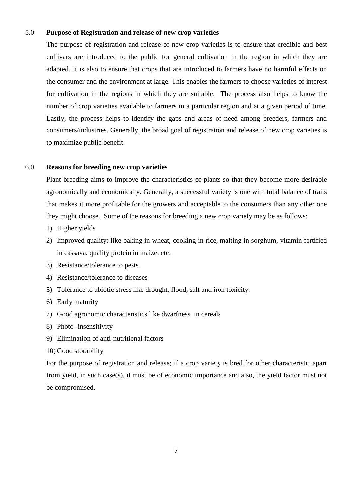#### 5.0 **Purpose of Registration and release of new crop varieties**

The purpose of registration and release of new crop varieties is to ensure that credible and best cultivars are introduced to the public for general cultivation in the region in which they are adapted. It is also to ensure that crops that are introduced to farmers have no harmful effects on the consumer and the environment at large. This enables the farmers to choose varieties of interest for cultivation in the regions in which they are suitable. The process also helps to know the number of crop varieties available to farmers in a particular region and at a given period of time. Lastly, the process helps to identify the gaps and areas of need among breeders, farmers and consumers/industries. Generally, the broad goal of registration and release of new crop varieties is to maximize public benefit.

#### 6.0 **Reasons for breeding new crop varieties**

Plant breeding aims to improve the characteristics of plants so that they become more desirable agronomically and economically. Generally, a successful variety is one with total balance of traits that makes it more profitable for the growers and acceptable to the consumers than any other one they might choose. Some of the reasons for breeding a new crop variety may be as follows:

- 1) Higher yields
- 2) Improved quality: like baking in wheat, cooking in rice, malting in sorghum, vitamin fortified in cassava, quality protein in maize. etc.
- 3) Resistance/tolerance to pests
- 4) Resistance/tolerance to diseases
- 5) Tolerance to abiotic stress like drought, flood, salt and iron toxicity.
- 6) Early maturity
- 7) Good agronomic characteristics like dwarfness in cereals
- 8) Photo- insensitivity
- 9) Elimination of anti-nutritional factors
- 10) Good storability

For the purpose of registration and release; if a crop variety is bred for other characteristic apart from yield, in such case(s), it must be of economic importance and also, the yield factor must not be compromised.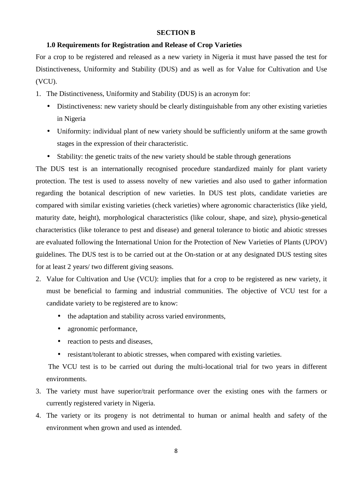#### **SECTION B**

#### **1.0 Requirements for Registration and Release of Crop Varieties**

For a crop to be registered and released as a new variety in Nigeria it must have passed the test for Distinctiveness, Uniformity and Stability (DUS) and as well as for Value for Cultivation and Use (VCU).

- 1. The Distinctiveness, Uniformity and Stability (DUS) is an acronym for:
	- Distinctiveness: new variety should be clearly distinguishable from any other existing varieties in Nigeria
	- Uniformity: individual plant of new variety should be sufficiently uniform at the same growth stages in the expression of their characteristic.
	- Stability: the genetic traits of the new variety should be stable through generations

The DUS test is an internationally recognised procedure standardized mainly for plant variety protection. The test is used to assess novelty of new varieties and also used to gather information regarding the botanical description of new varieties. In DUS test plots, candidate varieties are compared with similar existing varieties (check varieties) where agronomic characteristics (like yield, maturity date, height), morphological characteristics (like colour, shape, and size), physio-genetical characteristics (like tolerance to pest and disease) and general tolerance to biotic and abiotic stresses are evaluated following the International Union for the Protection of New Varieties of Plants (UPOV) guidelines. The DUS test is to be carried out at the On-station or at any designated DUS testing sites for at least 2 years/ two different giving seasons.

- 2. Value for Cultivation and Use (VCU): implies that for a crop to be registered as new variety, it must be beneficial to farming and industrial communities. The objective of VCU test for a candidate variety to be registered are to know:
	- the adaptation and stability across varied environments,
	- agronomic performance,
	- reaction to pests and diseases,
	- resistant/tolerant to abiotic stresses, when compared with existing varieties.

 The VCU test is to be carried out during the multi-locational trial for two years in different environments.

- 3. The variety must have superior/trait performance over the existing ones with the farmers or currently registered variety in Nigeria.
- 4. The variety or its progeny is not detrimental to human or animal health and safety of the environment when grown and used as intended.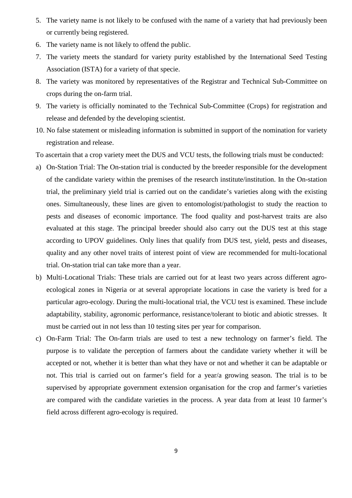- 5. The variety name is not likely to be confused with the name of a variety that had previously been or currently being registered.
- 6. The variety name is not likely to offend the public.
- 7. The variety meets the standard for variety purity established by the International Seed Testing Association (ISTA) for a variety of that specie.
- 8. The variety was monitored by representatives of the Registrar and Technical Sub-Committee on crops during the on-farm trial.
- 9. The variety is officially nominated to the Technical Sub-Committee (Crops) for registration and release and defended by the developing scientist.
- 10. No false statement or misleading information is submitted in support of the nomination for variety registration and release.
- To ascertain that a crop variety meet the DUS and VCU tests, the following trials must be conducted:
- a) On-Station Trial: The On-station trial is conducted by the breeder responsible for the development of the candidate variety within the premises of the research institute/institution. In the On-station trial, the preliminary yield trial is carried out on the candidate's varieties along with the existing ones. Simultaneously, these lines are given to entomologist/pathologist to study the reaction to pests and diseases of economic importance. The food quality and post-harvest traits are also evaluated at this stage. The principal breeder should also carry out the DUS test at this stage according to UPOV guidelines. Only lines that qualify from DUS test, yield, pests and diseases, quality and any other novel traits of interest point of view are recommended for multi-locational trial. On-station trial can take more than a year.
- b) Multi-Locational Trials: These trials are carried out for at least two years across different agroecological zones in Nigeria or at several appropriate locations in case the variety is bred for a particular agro-ecology. During the multi-locational trial, the VCU test is examined. These include adaptability, stability, agronomic performance, resistance/tolerant to biotic and abiotic stresses. It must be carried out in not less than 10 testing sites per year for comparison.
- c) On-Farm Trial: The On-farm trials are used to test a new technology on farmer's field. The purpose is to validate the perception of farmers about the candidate variety whether it will be accepted or not, whether it is better than what they have or not and whether it can be adaptable or not. This trial is carried out on farmer's field for a year/a growing season. The trial is to be supervised by appropriate government extension organisation for the crop and farmer's varieties are compared with the candidate varieties in the process. A year data from at least 10 farmer's field across different agro-ecology is required.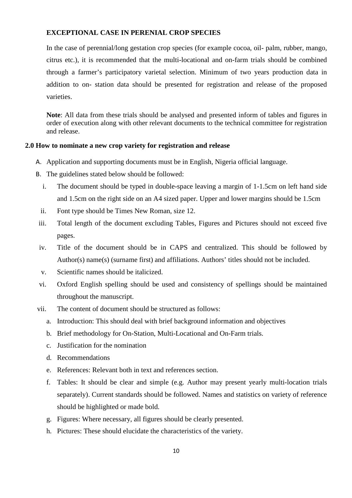#### **EXCEPTIONAL CASE IN PERENIAL CROP SPECIES**

In the case of perennial/long gestation crop species (for example cocoa, oil- palm, rubber, mango, citrus etc.), it is recommended that the multi-locational and on-farm trials should be combined through a farmer's participatory varietal selection. Minimum of two years production data in addition to on- station data should be presented for registration and release of the proposed varieties.

**Note**: All data from these trials should be analysed and presented inform of tables and figures in order of execution along with other relevant documents to the technical committee for registration and release.

#### **2.0 How to nominate a new crop variety for registration and release**

- A. Application and supporting documents must be in English, Nigeria official language.
- B. The guidelines stated below should be followed:
	- i. The document should be typed in double-space leaving a margin of 1-1.5cm on left hand side and 1.5cm on the right side on an A4 sized paper. Upper and lower margins should be 1.5cm
- ii. Font type should be Times New Roman, size 12.
- iii. Total length of the document excluding Tables, Figures and Pictures should not exceed five pages.
- iv. Title of the document should be in CAPS and centralized. This should be followed by Author(s) name(s) (surname first) and affiliations. Authors' titles should not be included.
- v. Scientific names should be italicized.
- vi. Oxford English spelling should be used and consistency of spellings should be maintained throughout the manuscript.
- vii. The content of document should be structured as follows:
	- a. Introduction: This should deal with brief background information and objectives
	- b. Brief methodology for On-Station, Multi-Locational and On-Farm trials.
	- c. Justification for the nomination
	- d. Recommendations
	- e. References: Relevant both in text and references section.
	- f. Tables: It should be clear and simple (e.g. Author may present yearly multi-location trials separately). Current standards should be followed. Names and statistics on variety of reference should be highlighted or made bold.
	- g. Figures: Where necessary, all figures should be clearly presented.
	- h. Pictures: These should elucidate the characteristics of the variety.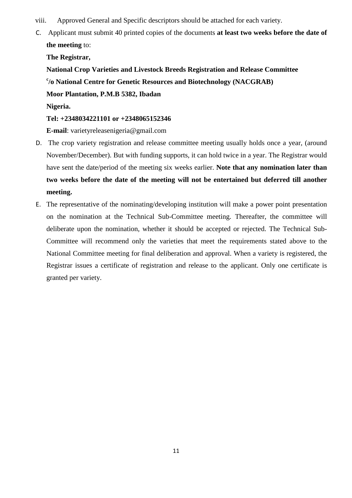- viii. Approved General and Specific descriptors should be attached for each variety.
- C. Applicant must submit 40 printed copies of the documents **at least two weeks before the date of the meeting** to:

**The Registrar,** 

**National Crop Varieties and Livestock Breeds Registration and Release Committee c /o National Centre for Genetic Resources and Biotechnology (NACGRAB) Moor Plantation, P.M.B 5382, Ibadan** 

**Nigeria.** 

#### **Tel: +2348034221101 or +2348065152346**

**E-mail**: varietyreleasenigeria@gmail.com

- D. The crop variety registration and release committee meeting usually holds once a year, (around November/December). But with funding supports, it can hold twice in a year. The Registrar would have sent the date/period of the meeting six weeks earlier. **Note that any nomination later than two weeks before the date of the meeting will not be entertained but deferred till another meeting.**
- E. The representative of the nominating/developing institution will make a power point presentation on the nomination at the Technical Sub-Committee meeting. Thereafter, the committee will deliberate upon the nomination, whether it should be accepted or rejected. The Technical Sub-Committee will recommend only the varieties that meet the requirements stated above to the National Committee meeting for final deliberation and approval. When a variety is registered, the Registrar issues a certificate of registration and release to the applicant. Only one certificate is granted per variety.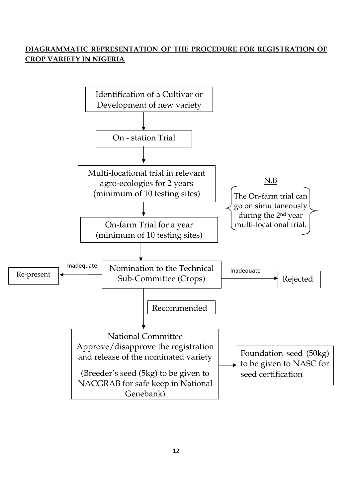# **DIAGRAMMATIC REPRESENTATION OF THE PROCEDURE FOR REGISTRATION OF CROP VARIETY IN NIGERIA**

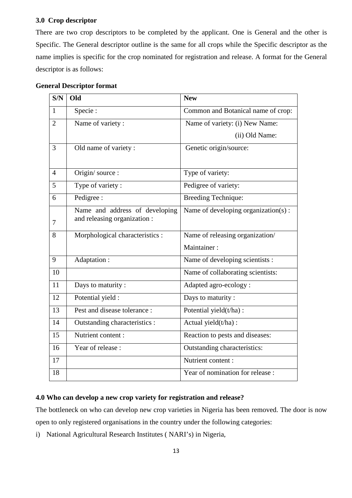#### **3.0 Crop descriptor**

There are two crop descriptors to be completed by the applicant. One is General and the other is Specific. The General descriptor outline is the same for all crops while the Specific descriptor as the name implies is specific for the crop nominated for registration and release. A format for the General descriptor is as follows:

| S/N            | Old                             | <b>New</b>                          |
|----------------|---------------------------------|-------------------------------------|
| $\mathbf{1}$   | Specie:                         | Common and Botanical name of crop:  |
| $\overline{2}$ | Name of variety:                | Name of variety: (i) New Name:      |
|                |                                 | (ii) Old Name:                      |
| $\overline{3}$ | Old name of variety:            | Genetic origin/source:              |
|                |                                 |                                     |
| $\overline{4}$ | Origin/source:                  | Type of variety:                    |
| 5              | Type of variety:                | Pedigree of variety:                |
| 6              | Pedigree :                      | <b>Breeding Technique:</b>          |
|                | Name and address of developing  | Name of developing organization(s): |
| 7              | and releasing organization :    |                                     |
| 8              | Morphological characteristics : | Name of releasing organization/     |
|                |                                 | Maintainer:                         |
| 9              | Adaptation:                     | Name of developing scientists :     |
| 10             |                                 | Name of collaborating scientists:   |
| 11             | Days to maturity :              | Adapted agro-ecology:               |
| 12             | Potential yield :               | Days to maturity :                  |
| 13             | Pest and disease tolerance :    | Potential yield(t/ha):              |
| 14             | Outstanding characteristics :   | Actual yield(t/ha):                 |
| 15             | Nutrient content:               | Reaction to pests and diseases:     |
| 16             | Year of release:                | Outstanding characteristics:        |
| 17             |                                 | Nutrient content:                   |
| 18             |                                 | Year of nomination for release :    |

#### **General Descriptor format**

#### **4.0 Who can develop a new crop variety for registration and release?**

The bottleneck on who can develop new crop varieties in Nigeria has been removed. The door is now open to only registered organisations in the country under the following categories:

i) National Agricultural Research Institutes ( NARI's) in Nigeria,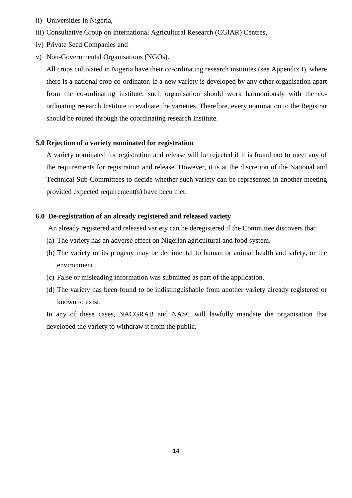- ii) Universities in Nigeria,
- iii) Consultative Group on International Agricultural Research (CGIAR) Centres,
- iv) Private Seed Companies and
- v) Non-Governmental Organisations (NGOs).

All crops cultivated in Nigeria have their co-ordinating research institutes (see Appendix I), where there is a national crop co-ordinator. If a new variety is developed by any other organisation apart from the co-ordinating institute, such organisation should work harmoniously with the coordinating research Institute to evaluate the varieties. Therefore, every nomination to the Registrar should be routed through the coordinating research Institute.

#### **5.0 Rejection of a variety nominated for registration**

A variety nominated for registration and release will be rejected if it is found not to meet any of the requirements for registration and release. However, it is at the discretion of the National and Technical Sub-Committees to decide whether such variety can be represented in another meeting provided expected requirement(s) have been met.

#### **6.0 De-registration of an already registered and released variety**

An already registered and released variety can be deregistered if the Committee discovers that:

- (a) The variety has an adverse effect on Nigerian agricultural and food system.
- (b) The variety or its progeny may be detrimental to human or animal health and safety, or the environment.
- (c) False or misleading information was submitted as part of the application.
- (d) The variety has been found to be indistinguishable from another variety already registered or known to exist.

In any of these cases, NACGRAB and NASC will lawfully mandate the organisation that developed the variety to withdraw it from the public.